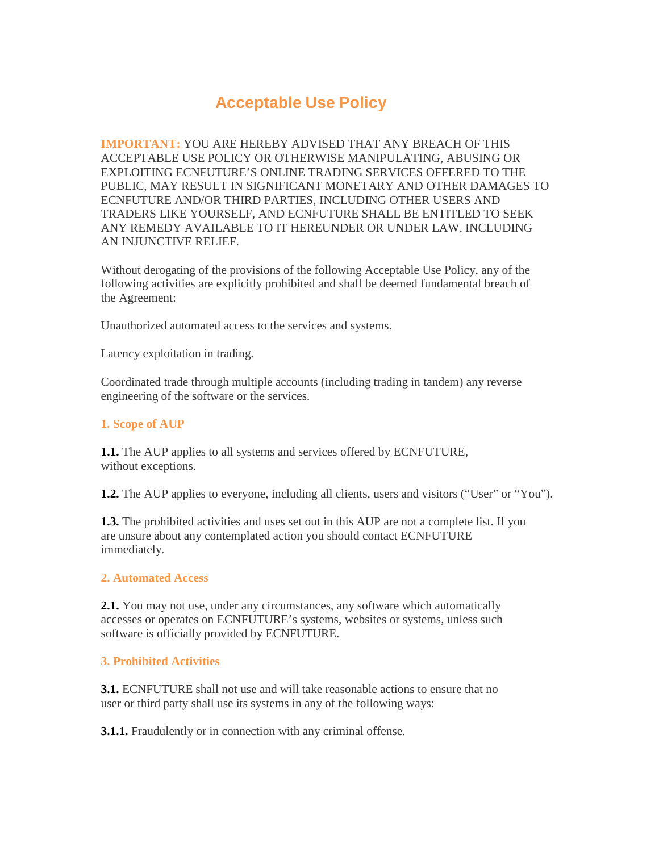## **Acceptable Use Policy**

**IMPORTANT:** YOU ARE HEREBY ADVISED THAT ANY BREACH OF THIS ACCEPTABLE USE POLICY OR OTHERWISE MANIPULATING, ABUSING OR EXPLOITING ECNFUTURE'S ONLINE TRADING SERVICES OFFERED TO THE PUBLIC, MAY RESULT IN SIGNIFICANT MONETARY AND OTHER DAMAGES TO ECNFUTURE AND/OR THIRD PARTIES, INCLUDING OTHER USERS AND TRADERS LIKE YOURSELF, AND ECNFUTURE SHALL BE ENTITLED TO SEEK ANY REMEDY AVAILABLE TO IT HEREUNDER OR UNDER LAW, INCLUDING AN INJUNCTIVE RELIEF.

Without derogating of the provisions of the following Acceptable Use Policy, any of the following activities are explicitly prohibited and shall be deemed fundamental breach of the Agreement:

Unauthorized automated access to the services and systems.

Latency exploitation in trading.

Coordinated trade through multiple accounts (including trading in tandem) any reverse engineering of the software or the services.

## **1. Scope of AUP**

**1.1.** The AUP applies to all systems and services offered by ECNFUTURE, without exceptions.

**1.2.** The AUP applies to everyone, including all clients, users and visitors ("User" or "You").

**1.3.** The prohibited activities and uses set out in this AUP are not a complete list. If you are unsure about any contemplated action you should contact ECNFUTURE immediately.

## **2. Automated Access**

**2.1.** You may not use, under any circumstances, any software which automatically accesses or operates on ECNFUTURE's systems, websites or systems, unless such software is officially provided by ECNFUTURE.

## **3. Prohibited Activities**

**3.1.** ECNFUTURE shall not use and will take reasonable actions to ensure that no user or third party shall use its systems in any of the following ways:

**3.1.1.** Fraudulently or in connection with any criminal offense.